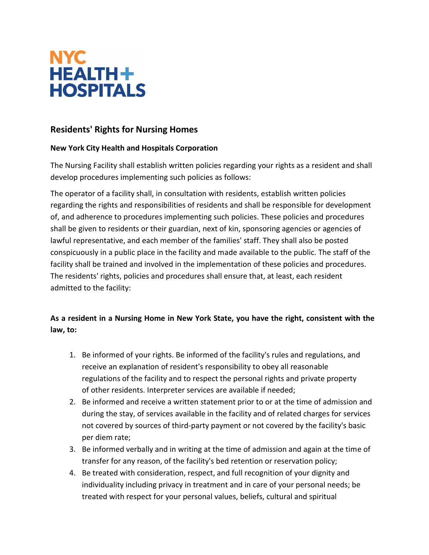

# **Residents' Rights for Nursing Homes**

## **New York City Health and Hospitals Corporation**

The Nursing Facility shall establish written policies regarding your rights as a resident and shall develop procedures implementing such policies as follows:

The operator of a facility shall, in consultation with residents, establish written policies regarding the rights and responsibilities of residents and shall be responsible for development of, and adherence to procedures implementing such policies. These policies and procedures shall be given to residents or their guardian, next of kin, sponsoring agencies or agencies of lawful representative, and each member of the families' staff. They shall also be posted conspicuously in a public place in the facility and made available to the public. The staff of the facility shall be trained and involved in the implementation of these policies and procedures. The residents' rights, policies and procedures shall ensure that, at least, each resident admitted to the facility:

# **As a resident in a Nursing Home in New York State, you have the right, consistent with the law, to:**

- 1. Be informed of your rights. Be informed of the facility's rules and regulations, and receive an explanation of resident's responsibility to obey all reasonable regulations of the facility and to respect the personal rights and private property of other residents. Interpreter services are available if needed;
- 2. Be informed and receive a written statement prior to or at the time of admission and during the stay, of services available in the facility and of related charges for services not covered by sources of third-party payment or not covered by the facility's basic per diem rate;
- 3. Be informed verbally and in writing at the time of admission and again at the time of transfer for any reason, of the facility's bed retention or reservation policy;
- 4. Be treated with consideration, respect, and full recognition of your dignity and individuality including privacy in treatment and in care of your personal needs; be treated with respect for your personal values, beliefs, cultural and spiritual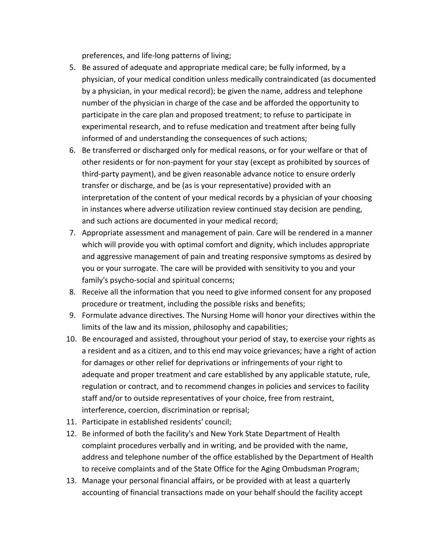preferences, and life-long patterns of living;

- 5. Be assured of adequate and appropriate medical care; be fully informed, by a physician, of your medical condition unless medically contraindicated (as documented by a physician, in your medical record); be given the name, address and telephone number of the physician in charge of the case and be afforded the opportunity to participate in the care plan and proposed treatment; to refuse to participate in experimental research, and to refuse medication and treatment after being fully informed of and understanding the consequences of such actions;
- 6. Be transferred or discharged only for medical reasons, or for your welfare or that of other residents or for non-payment for your stay (except as prohibited by sources of third-party payment), and be given reasonable advance notice to ensure orderly transfer or discharge, and be (as is your representative) provided with an interpretation of the content of your medical records by a physician of your choosing in instances where adverse utilization review continued stay decision are pending, and such actions are documented in your medical record;
- 7. Appropriate assessment and management of pain. Care will be rendered in a manner which will provide you with optimal comfort and dignity, which includes appropriate and aggressive management of pain and treating responsive symptoms as desired by you or your surrogate. The care will be provided with sensitivity to you and your family's psycho-social and spiritual concerns;
- 8. Receive all the information that you need to give informed consent for any proposed procedure or treatment, including the possible risks and benefits;
- 9. Formulate advance directives. The Nursing Home will honor your directives within the limits of the law and its mission, philosophy and capabilities;
- 10. Be encouraged and assisted, throughout your period of stay, to exercise your rights as a resident and as a citizen, and to this end may voice grievances; have a right of action for damages or other relief for deprivations or infringements of your right to adequate and proper treatment and care established by any applicable statute, rule, regulation or contract, and to recommend changes in policies and services to facility staff and/or to outside representatives of your choice, free from restraint, interference, coercion, discrimination or reprisal;
- 11. Participate in established residents' council;
- 12. Be informed of both the facility's and New York State Department of Health complaint procedures verbally and in writing, and be provided with the name, address and telephone number of the office established by the Department of Health to receive complaints and of the State Office for the Aging Ombudsman Program;
- 13. Manage your personal financial affairs, or be provided with at least a quarterly accounting of financial transactions made on your behalf should the facility accept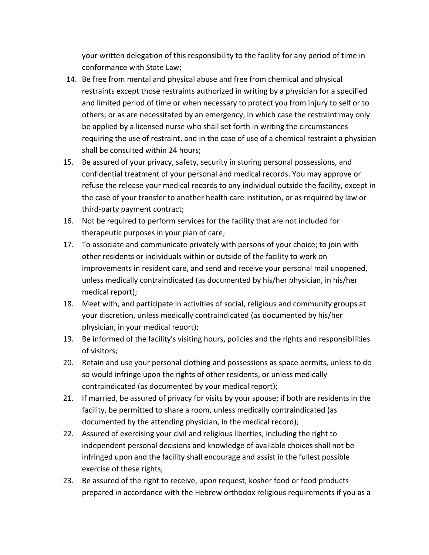your written delegation of this responsibility to the facility for any period of time in conformance with State Law;

- 14. Be free from mental and physical abuse and free from chemical and physical restraints except those restraints authorized in writing by a physician for a specified and limited period of time or when necessary to protect you from injury to self or to others; or as are necessitated by an emergency, in which case the restraint may only be applied by a licensed nurse who shall set forth in writing the circumstances requiring the use of restraint, and in the case of use of a chemical restraint a physician shall be consulted within 24 hours;
- 15. Be assured of your privacy, safety, security in storing personal possessions, and confidential treatment of your personal and medical records. You may approve or refuse the release your medical records to any individual outside the facility, except in the case of your transfer to another health care institution, or as required by law or third-party payment contract;
- 16. Not be required to perform services for the facility that are not included for therapeutic purposes in your plan of care;
- 17. To associate and communicate privately with persons of your choice; to join with other residents or individuals within or outside of the facility to work on improvements in resident care, and send and receive your personal mail unopened, unless medically contraindicated (as documented by his/her physician, in his/her medical report);
- 18. Meet with, and participate in activities of social, religious and community groups at your discretion, unless medically contraindicated (as documented by his/her physician, in your medical report);
- 19. Be informed of the facility's visiting hours, policies and the rights and responsibilities of visitors;
- 20. Retain and use your personal clothing and possessions as space permits, unless to do so would infringe upon the rights of other residents, or unless medically contraindicated (as documented by your medical report);
- 21. If married, be assured of privacy for visits by your spouse; if both are residents in the facility, be permitted to share a room, unless medically contraindicated (as documented by the attending physician, in the medical record);
- 22. Assured of exercising your civil and religious liberties, including the right to independent personal decisions and knowledge of available choices shall not be infringed upon and the facility shall encourage and assist in the fullest possible exercise of these rights;
- 23. Be assured of the right to receive, upon request, kosher food or food products prepared in accordance with the Hebrew orthodox religious requirements if you as a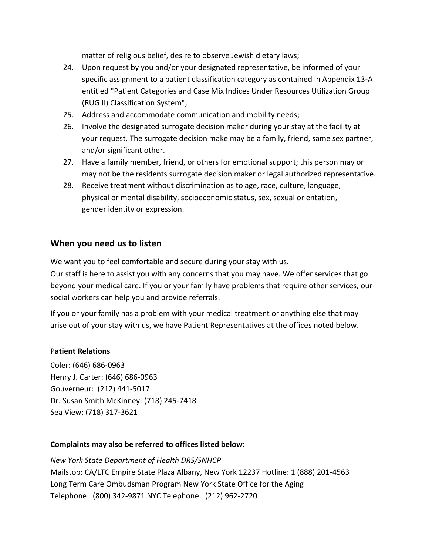matter of religious belief, desire to observe Jewish dietary laws;

- 24. Upon request by you and/or your designated representative, be informed of your specific assignment to a patient classification category as contained in Appendix 13-A entitled "Patient Categories and Case Mix Indices Under Resources Utilization Group (RUG II) Classification System";
- 25. Address and accommodate communication and mobility needs;
- 26. Involve the designated surrogate decision maker during your stay at the facility at your request. The surrogate decision make may be a family, friend, same sex partner, and/or significant other.
- 27. Have a family member, friend, or others for emotional support; this person may or may not be the residents surrogate decision maker or legal authorized representative.
- 28. Receive treatment without discrimination as to age, race, culture, language, physical or mental disability, socioeconomic status, sex, sexual orientation, gender identity or expression.

## **When you need us to listen**

We want you to feel comfortable and secure during your stay with us.

Our staff is here to assist you with any concerns that you may have. We offer services that go beyond your medical care. If you or your family have problems that require other services, our social workers can help you and provide referrals.

If you or your family has a problem with your medical treatment or anything else that may arise out of your stay with us, we have Patient Representatives at the offices noted below.

### P**atient Relations**

Coler: (646) 686-0963 Henry J. Carter: (646) 686-0963 Gouverneur: (212) 441-5017 Dr. Susan Smith McKinney: (718) 245-7418 Sea View: (718) 317-3621

### **Complaints may also be referred to offices listed below:**

*New York State Department of Health DRS/SNHCP* Mailstop: CA/LTC Empire State Plaza Albany, New York 12237 Hotline: 1 (888) 201-4563 Long Term Care Ombudsman Program New York State Office for the Aging Telephone: (800) 342-9871 NYC Telephone: (212) 962-2720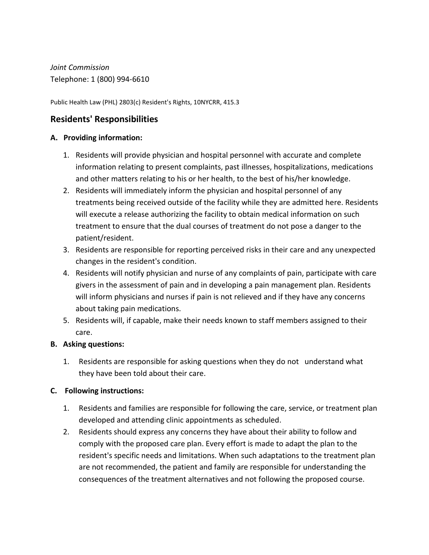*Joint Commission* Telephone: 1 (800) 994-6610

Public Health Law (PHL) 2803(c) Resident's Rights, 10NYCRR, 415.3

# **Residents' Responsibilities**

### **A. Providing information:**

- 1. Residents will provide physician and hospital personnel with accurate and complete information relating to present complaints, past illnesses, hospitalizations, medications and other matters relating to his or her health, to the best of his/her knowledge.
- 2. Residents will immediately inform the physician and hospital personnel of any treatments being received outside of the facility while they are admitted here. Residents will execute a release authorizing the facility to obtain medical information on such treatment to ensure that the dual courses of treatment do not pose a danger to the patient/resident.
- 3. Residents are responsible for reporting perceived risks in their care and any unexpected changes in the resident's condition.
- 4. Residents will notify physician and nurse of any complaints of pain, participate with care givers in the assessment of pain and in developing a pain management plan. Residents will inform physicians and nurses if pain is not relieved and if they have any concerns about taking pain medications.
- 5. Residents will, if capable, make their needs known to staff members assigned to their care.

### **B. Asking questions:**

1. Residents are responsible for asking questions when they do not understand what they have been told about their care.

### **C. Following instructions:**

- 1. Residents and families are responsible for following the care, service, or treatment plan developed and attending clinic appointments as scheduled.
- 2. Residents should express any concerns they have about their ability to follow and comply with the proposed care plan. Every effort is made to adapt the plan to the resident's specific needs and limitations. When such adaptations to the treatment plan are not recommended, the patient and family are responsible for understanding the consequences of the treatment alternatives and not following the proposed course.